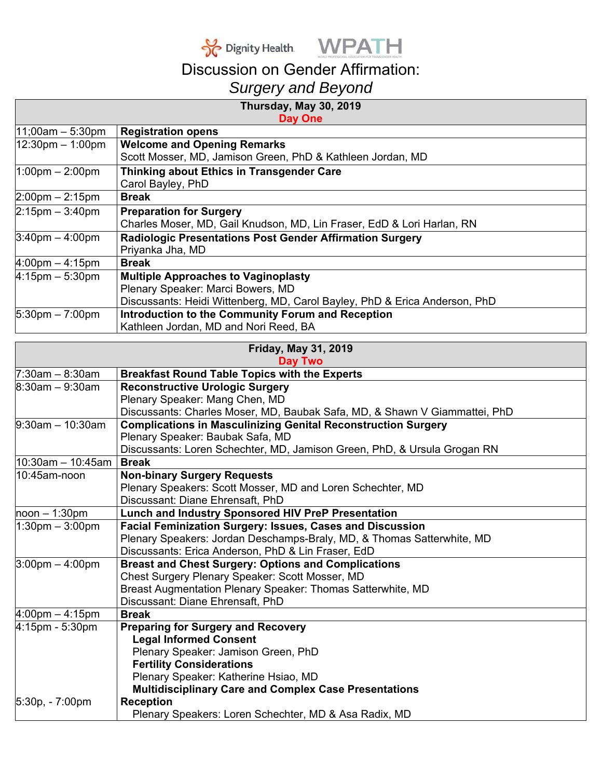



## Discussion on Gender Affirmation: *Surgery and Beyond*

| Thursday, May 30, 2019            |                                                                            |
|-----------------------------------|----------------------------------------------------------------------------|
|                                   | <b>Day One</b>                                                             |
| $11;00am - 5:30pm$                | <b>Registration opens</b>                                                  |
| 12:30pm - 1:00pm                  | <b>Welcome and Opening Remarks</b>                                         |
|                                   | Scott Mosser, MD, Jamison Green, PhD & Kathleen Jordan, MD                 |
| $1:00 \text{pm} - 2:00 \text{pm}$ | Thinking about Ethics in Transgender Care                                  |
|                                   | Carol Bayley, PhD                                                          |
| $2:00$ pm $- 2:15$ pm             | <b>Break</b>                                                               |
| $2:15$ pm $-3:40$ pm              | <b>Preparation for Surgery</b>                                             |
|                                   | Charles Moser, MD, Gail Knudson, MD, Lin Fraser, EdD & Lori Harlan, RN     |
| $3:40$ pm $-4:00$ pm              | Radiologic Presentations Post Gender Affirmation Surgery                   |
|                                   | Priyanka Jha, MD                                                           |
| $4:00 \text{pm} - 4:15 \text{pm}$ | <b>Break</b>                                                               |
| $4:15$ pm $-5:30$ pm              | <b>Multiple Approaches to Vaginoplasty</b>                                 |
|                                   | Plenary Speaker: Marci Bowers, MD                                          |
|                                   | Discussants: Heidi Wittenberg, MD, Carol Bayley, PhD & Erica Anderson, PhD |
| $5:30 \text{pm} - 7:00 \text{pm}$ | Introduction to the Community Forum and Reception                          |
|                                   | Kathleen Jordan, MD and Nori Reed, BA                                      |
|                                   | <b>Friday, May 31, 2019</b>                                                |
|                                   | <b>Day Two</b>                                                             |
| $7:30am - 8:30am$                 | <b>Breakfast Round Table Topics with the Experts</b>                       |
| $8:30am - 9:30am$                 | <b>Reconstructive Urologic Surgery</b>                                     |
|                                   | Plenary Speaker: Mang Chen, MD                                             |
|                                   | Discussants: Charles Moser, MD, Baubak Safa, MD, & Shawn V Giammattei, PhD |
| $9:30$ am - 10:30am               | <b>Complications in Masculinizing Genital Reconstruction Surgery</b>       |
|                                   | Plenary Speaker: Baubak Safa, MD                                           |
|                                   | Discussants: Loren Schechter, MD, Jamison Green, PhD, & Ursula Grogan RN   |
| $10:30$ am - 10:45am              | <b>Break</b>                                                               |
| 10:45am-noon                      | <b>Non-binary Surgery Requests</b>                                         |
|                                   | Plenary Speakers: Scott Mosser, MD and Loren Schechter, MD                 |
|                                   | Discussant: Diane Ehrensaft, PhD                                           |
| $\text{ho}$ on $-1:30\text{pm}$   | Lunch and Industry Sponsored HIV PreP Presentation                         |
| $1:30$ pm $-3:00$ pm              | Facial Feminization Surgery: Issues, Cases and Discussion                  |
|                                   | Plenary Speakers: Jordan Deschamps-Braly, MD, & Thomas Satterwhite, MD     |
|                                   | Discussants: Erica Anderson, PhD & Lin Fraser, EdD                         |
| $3:00 \text{pm} - 4:00 \text{pm}$ | <b>Breast and Chest Surgery: Options and Complications</b>                 |
|                                   | Chest Surgery Plenary Speaker: Scott Mosser, MD                            |
|                                   | Breast Augmentation Plenary Speaker: Thomas Satterwhite, MD                |
|                                   | Discussant: Diane Ehrensaft, PhD                                           |
| $4:00 \text{pm} - 4:15 \text{pm}$ | <b>Break</b>                                                               |
| 4:15pm - 5:30pm                   | <b>Preparing for Surgery and Recovery</b>                                  |
|                                   | <b>Legal Informed Consent</b>                                              |
|                                   | Plenary Speaker: Jamison Green, PhD                                        |
|                                   | <b>Fertility Considerations</b>                                            |
|                                   | Plenary Speaker: Katherine Hsiao, MD                                       |
|                                   | <b>Multidisciplinary Care and Complex Case Presentations</b>               |
| 5:30p, - 7:00pm                   | <b>Reception</b>                                                           |
|                                   | Plenary Speakers: Loren Schechter, MD & Asa Radix, MD                      |